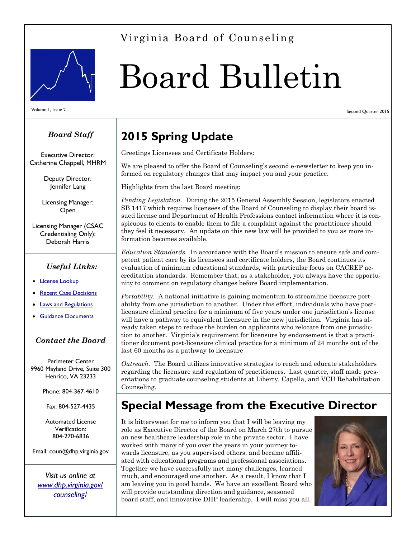#### Virginia Board of Counseling



# Board Bulletin

Volume 1, Issue 2 Second Quarter 2015

#### *Board Staff*

Executive Director: Catherine Chappell, MHRM

> Deputy Director: Jennifer Lang

Licensing Manager: Open

Licensing Manager (CSAC Credentialing Only): Deborah Harris

#### *Useful Links:*

- [License Lookup](https://secure01.virginiainteractive.org/dhp/cgi-bin/search_publicdb.cgi)
- [Recent Case Decisions](http://www.dhp.virginia.gov/enforcement/cdecision/boardresults.asp?board=7)
- [Laws and Regulations](http://www.dhp.virginia.gov/counseling/counseling_laws_regs.htm)
- **[Guidance Documents](http://www.dhp.virginia.gov/counseling/counseling_guidelines.htm)**

#### *Contact the Board*

Perimeter Center 9960 Mayland Drive, Suite 300 Henrico, VA 23233

Phone: 804-367-4610

Fax: 804-527-4435

Automated License Verification: 804-270-6836

Email: coun@dhp.virginia.gov

*Visit us online at [www.dhp.virginia.gov/](http://www.dhp.virginia.gov/counseling/) [counseling/](http://www.dhp.virginia.gov/counseling/)*

## **2015 Spring Update**

Greetings Licensees and Certificate Holders:

We are pleased to offer the Board of Counseling's second e-newsletter to keep you informed on regulatory changes that may impact you and your practice.

Highlights from the last Board meeting:

*Pending Legislation.* During the 2015 General Assembly Session, legislators enacted SB 1417 which requires licensees of the Board of Counseling to display their board issued license and Department of Health Professions contact information where it is conspicuous to clients to enable them to file a complaint against the practitioner should they feel it necessary. An update on this new law will be provided to you as more information becomes available.

*Education Standards.* In accordance with the Board's mission to ensure safe and competent patient care by its licensees and certificate holders, the Board continues its evaluation of minimum educational standards, with particular focus on CACREP accreditation standards. Remember that, as a stakeholder, you always have the opportunity to comment on regulatory changes before Board implementation.

*Portability.* A national initiative is gaining momentum to streamline licensure portability from one jurisdiction to another. Under this effort, individuals who have postlicensure clinical practice for a minimum of five years under one jurisdiction's license will have a pathway to equivalent licensure in the new jurisdiction. Virginia has already taken steps to reduce the burden on applicants who relocate from one jurisdiction to another. Virginia's requirement for licensure by endorsement is that a practitioner document post-licensure clinical practice for a minimum of 24 months out of the last 60 months as a pathway to licensure

*Outreach.* The Board utilizes innovative strategies to reach and educate stakeholders regarding the licensure and regulation of practitioners. Last quarter, staff made presentations to graduate counseling students at Liberty, Capella, and VCU Rehabilitation Counseling.

#### **Special Message from the Executive Director**

It is bittersweet for me to inform you that I will be leaving my role as Executive Director of the Board on March 27th to pursue an new healthcare leadership role in the private sector. I have worked with many of you over the years in your journey towards licensure, as you supervised others, and became affiliated with educational programs and professional associations. Together we have successfully met many challenges, learned much, and encouraged one another. As a result, I know that I am leaving you in good hands. We have an excellent Board who will provide outstanding direction and guidance, seasoned board staff, and innovative DHP leadership. I will miss you all.